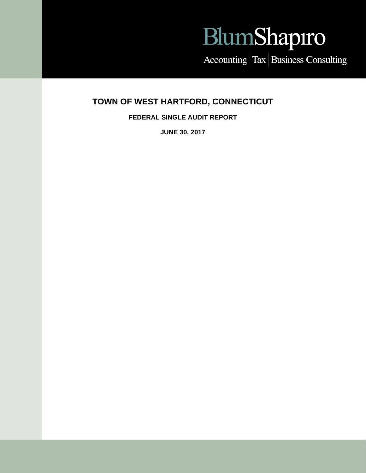# BlumShapiro

Accounting Tax Business Consulting

## **TOWN OF WEST HARTFORD, CONNECTICUT**

**FEDERAL SINGLE AUDIT REPORT** 

**JUNE 30, 2017**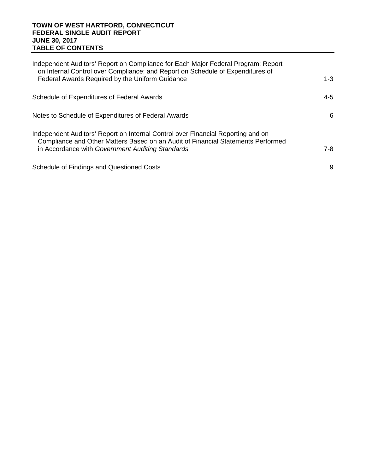#### **TOWN OF WEST HARTFORD, CONNECTICUT FEDERAL SINGLE AUDIT REPORT JUNE 30, 2017 TABLE OF CONTENTS**

| Independent Auditors' Report on Compliance for Each Major Federal Program; Report<br>on Internal Control over Compliance; and Report on Schedule of Expenditures of<br>Federal Awards Required by the Uniform Guidance   | $1 - 3$ |
|--------------------------------------------------------------------------------------------------------------------------------------------------------------------------------------------------------------------------|---------|
|                                                                                                                                                                                                                          |         |
| Schedule of Expenditures of Federal Awards                                                                                                                                                                               | $4 - 5$ |
| Notes to Schedule of Expenditures of Federal Awards                                                                                                                                                                      | 6       |
| Independent Auditors' Report on Internal Control over Financial Reporting and on<br>Compliance and Other Matters Based on an Audit of Financial Statements Performed<br>in Accordance with Government Auditing Standards | 7-8     |
| Schedule of Findings and Questioned Costs                                                                                                                                                                                | 9       |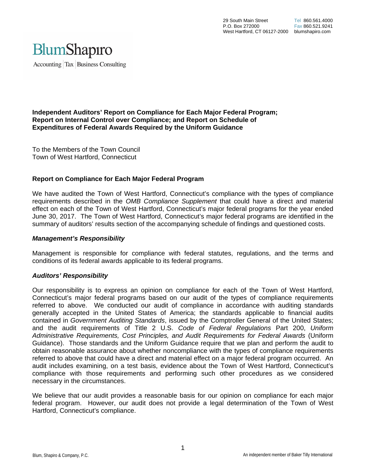

Accounting Tax Business Consulting

#### **Independent Auditors' Report on Compliance for Each Major Federal Program; Report on Internal Control over Compliance; and Report on Schedule of Expenditures of Federal Awards Required by the Uniform Guidance**

To the Members of the Town Council Town of West Hartford, Connecticut

#### **Report on Compliance for Each Major Federal Program**

We have audited the Town of West Hartford, Connecticut's compliance with the types of compliance requirements described in the *OMB Compliance Supplement* that could have a direct and material effect on each of the Town of West Hartford, Connecticut's major federal programs for the year ended June 30, 2017. The Town of West Hartford, Connecticut's major federal programs are identified in the summary of auditors' results section of the accompanying schedule of findings and questioned costs.

#### *Management's Responsibility*

Management is responsible for compliance with federal statutes, regulations, and the terms and conditions of its federal awards applicable to its federal programs.

#### *Auditors' Responsibility*

Our responsibility is to express an opinion on compliance for each of the Town of West Hartford, Connecticut's major federal programs based on our audit of the types of compliance requirements referred to above. We conducted our audit of compliance in accordance with auditing standards generally accepted in the United States of America; the standards applicable to financial audits contained in *Government Auditing Standards*, issued by the Comptroller General of the United States; and the audit requirements of Title 2 U.S. *Code of Federal Regulations* Part 200, *Uniform Administrative Requirements, Cost Principles, and Audit Requirements for Federal Awards* (Uniform Guidance). Those standards and the Uniform Guidance require that we plan and perform the audit to obtain reasonable assurance about whether noncompliance with the types of compliance requirements referred to above that could have a direct and material effect on a major federal program occurred. An audit includes examining, on a test basis, evidence about the Town of West Hartford, Connecticut's compliance with those requirements and performing such other procedures as we considered necessary in the circumstances.

We believe that our audit provides a reasonable basis for our opinion on compliance for each major federal program. However, our audit does not provide a legal determination of the Town of West Hartford, Connecticut's compliance.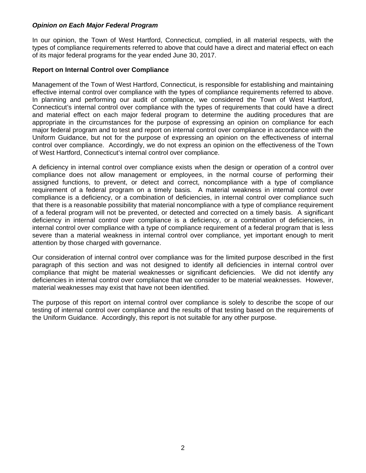#### *Opinion on Each Major Federal Program*

In our opinion, the Town of West Hartford, Connecticut, complied, in all material respects, with the types of compliance requirements referred to above that could have a direct and material effect on each of its major federal programs for the year ended June 30, 2017.

#### **Report on Internal Control over Compliance**

Management of the Town of West Hartford, Connecticut, is responsible for establishing and maintaining effective internal control over compliance with the types of compliance requirements referred to above. In planning and performing our audit of compliance, we considered the Town of West Hartford, Connecticut's internal control over compliance with the types of requirements that could have a direct and material effect on each major federal program to determine the auditing procedures that are appropriate in the circumstances for the purpose of expressing an opinion on compliance for each major federal program and to test and report on internal control over compliance in accordance with the Uniform Guidance, but not for the purpose of expressing an opinion on the effectiveness of internal control over compliance. Accordingly, we do not express an opinion on the effectiveness of the Town of West Hartford, Connecticut's internal control over compliance.

A deficiency in internal control over compliance exists when the design or operation of a control over compliance does not allow management or employees, in the normal course of performing their assigned functions, to prevent, or detect and correct, noncompliance with a type of compliance requirement of a federal program on a timely basis. A material weakness in internal control over compliance is a deficiency, or a combination of deficiencies, in internal control over compliance such that there is a reasonable possibility that material noncompliance with a type of compliance requirement of a federal program will not be prevented, or detected and corrected on a timely basis. A significant deficiency in internal control over compliance is a deficiency, or a combination of deficiencies, in internal control over compliance with a type of compliance requirement of a federal program that is less severe than a material weakness in internal control over compliance, yet important enough to merit attention by those charged with governance.

Our consideration of internal control over compliance was for the limited purpose described in the first paragraph of this section and was not designed to identify all deficiencies in internal control over compliance that might be material weaknesses or significant deficiencies. We did not identify any deficiencies in internal control over compliance that we consider to be material weaknesses. However, material weaknesses may exist that have not been identified.

The purpose of this report on internal control over compliance is solely to describe the scope of our testing of internal control over compliance and the results of that testing based on the requirements of the Uniform Guidance. Accordingly, this report is not suitable for any other purpose.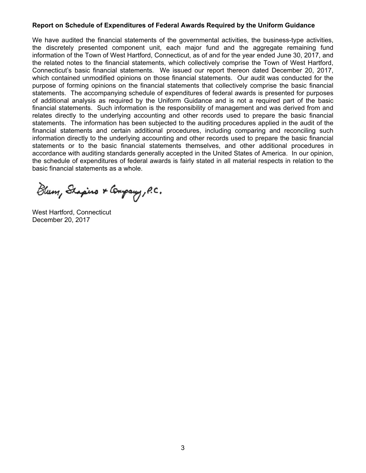#### **Report on Schedule of Expenditures of Federal Awards Required by the Uniform Guidance**

We have audited the financial statements of the governmental activities, the business-type activities, the discretely presented component unit, each major fund and the aggregate remaining fund information of the Town of West Hartford, Connecticut, as of and for the year ended June 30, 2017, and the related notes to the financial statements, which collectively comprise the Town of West Hartford, Connecticut's basic financial statements. We issued our report thereon dated December 20, 2017, which contained unmodified opinions on those financial statements. Our audit was conducted for the purpose of forming opinions on the financial statements that collectively comprise the basic financial statements. The accompanying schedule of expenditures of federal awards is presented for purposes of additional analysis as required by the Uniform Guidance and is not a required part of the basic financial statements. Such information is the responsibility of management and was derived from and relates directly to the underlying accounting and other records used to prepare the basic financial statements. The information has been subjected to the auditing procedures applied in the audit of the financial statements and certain additional procedures, including comparing and reconciling such information directly to the underlying accounting and other records used to prepare the basic financial statements or to the basic financial statements themselves, and other additional procedures in accordance with auditing standards generally accepted in the United States of America. In our opinion, the schedule of expenditures of federal awards is fairly stated in all material respects in relation to the basic financial statements as a whole.

Blum, Shapino & Company, P.C.

West Hartford, Connecticut December 20, 2017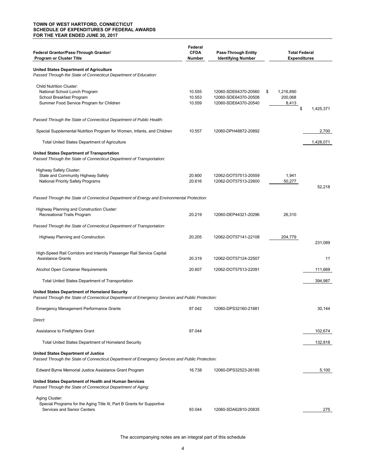#### **TOWN OF WEST HARTFORD, CONNECTICUT SCHEDULE OF EXPENDITURES OF FEDERAL AWARDS FOR THE YEAR ENDED JUNE 30, 2017**

| Federal Grantor/Pass-Through Grantor/<br><b>Program or Cluster Title</b>                                                                         | Federal<br><b>CFDA</b><br><b>Number</b> | <b>Pass-Through Entity</b><br><b>Identifying Number</b>              | <b>Total Federal</b><br><b>Expenditures</b> |           |
|--------------------------------------------------------------------------------------------------------------------------------------------------|-----------------------------------------|----------------------------------------------------------------------|---------------------------------------------|-----------|
| <b>United States Department of Agriculture</b><br>Passed Through the State of Connecticut Department of Education:                               |                                         |                                                                      |                                             |           |
| <b>Child Nutrition Cluster:</b><br>National School Lunch Program<br>School Breakfast Program<br>Summer Food Service Program for Children         | 10.555<br>10.553<br>10.559              | 12060-SDE64370-20560<br>12060-SDE64370-20508<br>12060-SDE64370-20540 | 1,216,890<br>\$<br>200,068<br>8,413<br>\$   | 1,425,371 |
| Passed Through the State of Connecticut Department of Public Health:                                                                             |                                         |                                                                      |                                             |           |
| Special Supplemental Nutrition Program for Women, Infants, and Children                                                                          | 10.557                                  | 12060-DPH48872-20892                                                 |                                             | 2,700     |
| <b>Total United States Department of Agriculture</b>                                                                                             |                                         |                                                                      |                                             | 1,428,071 |
| United States Department of Transportation<br>Passed Through the State of Connecticut Department of Transportation:                              |                                         |                                                                      |                                             |           |
| <b>Highway Safety Cluster:</b><br>State and Community Highway Safety<br><b>National Priority Safety Programs</b>                                 | 20.600<br>20.616                        | 12062-DOT57513-20559<br>12062-DOT57513-22600                         | 1,941<br>50,277                             | 52.218    |
| Passed Through the State of Connecticut Department of Energy and Environmental Protection:                                                       |                                         |                                                                      |                                             |           |
| Highway Planning and Construction Cluster:<br>Recreational Trails Program                                                                        | 20.219                                  | 12060-DEP44321-20296                                                 | 26,310                                      |           |
| Passed Through the State of Connecticut Department of Transportation:                                                                            |                                         |                                                                      |                                             |           |
| Highway Planning and Construction                                                                                                                | 20.205                                  | 12062-DOT57141-22108                                                 | 204,779                                     | 231,089   |
| High-Speed Rail Corridors and Intercity Passenger Rail Service Capital<br><b>Assistance Grants</b>                                               | 20.319                                  | 12062-DOT57124-22507                                                 |                                             | 11        |
| Alcohol Open Container Requirements                                                                                                              | 20.607                                  | 12062-DOT57513-22091                                                 |                                             | 111,669   |
| Total United States Department of Transportation                                                                                                 |                                         |                                                                      |                                             | 394,987   |
| United States Department of Homeland Security<br>Passed Through the State of Connecticut Department of Emergency Services and Public Protection: |                                         |                                                                      |                                             |           |
| <b>Emergency Management Performance Grants</b>                                                                                                   | 97.042                                  | 12060-DPS32160-21881                                                 |                                             | 30,144    |
| Direct:                                                                                                                                          |                                         |                                                                      |                                             |           |
| Assistance to Firefighters Grant                                                                                                                 | 97.044                                  |                                                                      |                                             | 102,674   |
| Total United States Department of Homeland Security                                                                                              |                                         |                                                                      |                                             | 132,818   |
| <b>United States Department of Justice</b><br>Passed Through the State of Connecticut Department of Emergency Services and Public Protection:    |                                         |                                                                      |                                             |           |
| Edward Byrne Memorial Justice Assistance Grant Program                                                                                           | 16.738                                  | 12060-DPS32523-26185                                                 |                                             | 5,100     |
| United States Department of Health and Human Services<br>Passed Through the State of Connecticut Department of Aging:                            |                                         |                                                                      |                                             |           |
| Aging Cluster:<br>Special Programs for the Aging Title III, Part B Grants for Supportive<br>Services and Senior Centers                          | 93.044                                  | 12060-SDA62810-20835                                                 |                                             | 275       |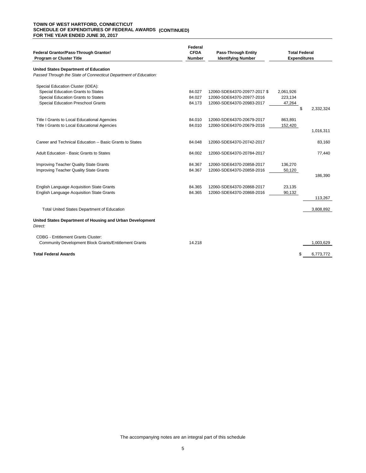#### **SCHEDULE OF EXPENDITURES OF FEDERAL AWARDS (CONTINUED) TOWN OF WEST HARTFORD, CONNECTICUT SCHEDULE OF EXPENDITURES OF FEDERAL AWARDS FOR THE YEAR ENDED JUNE 30, 2017**

| Federal Grantor/Pass-Through Grantor/<br><b>Program or Cluster Title</b>                                                                            | Federal<br><b>CFDA</b><br><b>Number</b> | <b>Pass-Through Entity</b><br><b>Identifying Number</b>                                | <b>Total Federal</b><br><b>Expenditures</b> |           |
|-----------------------------------------------------------------------------------------------------------------------------------------------------|-----------------------------------------|----------------------------------------------------------------------------------------|---------------------------------------------|-----------|
| <b>United States Department of Education</b><br>Passed Through the State of Connecticut Department of Education:                                    |                                         |                                                                                        |                                             |           |
| Special Education Cluster (IDEA):<br>Special Education Grants to States<br>Special Education Grants to States<br>Special Education Preschool Grants | 84.027<br>84.027<br>84.173              | 12060-SDE64370-20977-2017 \$<br>12060-SDE64370-20977-2016<br>12060-SDE64370-20983-2017 | 2,061,926<br>223,134<br>47,264<br>\$        | 2,332,324 |
| Title I Grants to Local Educational Agencies<br>Title I Grants to Local Educational Agencies                                                        | 84.010<br>84.010                        | 12060-SDE64370-20679-2017<br>12060-SDE64370-20679-2016                                 | 863,891<br>152,420                          | 1,016,311 |
| Career and Technical Education -- Basic Grants to States                                                                                            | 84.048                                  | 12060-SDE64370-20742-2017                                                              |                                             | 83,160    |
| Adult Education - Basic Grants to States                                                                                                            | 84.002                                  | 12060-SDE64370-20784-2017                                                              |                                             | 77,440    |
| Improving Teacher Quality State Grants<br>Improving Teacher Quality State Grants                                                                    | 84.367<br>84.367                        | 12060-SDE64370-20858-2017<br>12060-SDE64370-20858-2016                                 | 136,270<br>50,120                           | 186,390   |
| English Language Acquisition State Grants<br><b>English Language Acquisition State Grants</b>                                                       | 84.365<br>84.365                        | 12060-SDE64370-20868-2017<br>12060-SDE64370-20868-2016                                 | 23,135<br>90,132                            | 113,267   |
| Total United States Department of Education                                                                                                         |                                         |                                                                                        |                                             | 3,808,892 |
| United States Department of Housing and Urban Development<br>Direct:                                                                                |                                         |                                                                                        |                                             |           |
| <b>CDBG - Entitlement Grants Cluster:</b><br>Community Development Block Grants/Entitlement Grants                                                  | 14.218                                  |                                                                                        |                                             | 1.003.629 |
| <b>Total Federal Awards</b>                                                                                                                         |                                         |                                                                                        |                                             | 6,773,772 |

The accompanying notes are an integral part of this schedule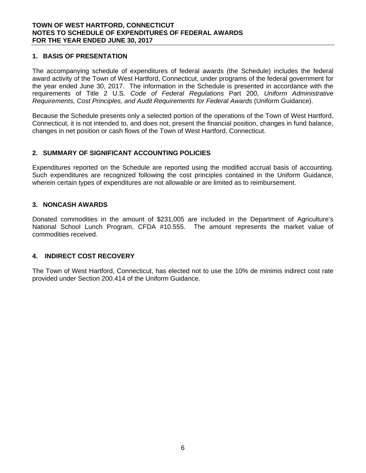#### **1. BASIS OF PRESENTATION**

The accompanying schedule of expenditures of federal awards (the Schedule) includes the federal award activity of the Town of West Hartford, Connecticut, under programs of the federal government for the year ended June 30, 2017. The information in the Schedule is presented in accordance with the requirements of Title 2 U.S. *Code of Federal Regulations* Part 200, *Uniform Administrative Requirements, Cost Principles, and Audit Requirements for Federal Awards* (Uniform Guidance).

Because the Schedule presents only a selected portion of the operations of the Town of West Hartford, Connecticut, it is not intended to, and does not, present the financial position, changes in fund balance, changes in net position or cash flows of the Town of West Hartford, Connecticut.

## **2. SUMMARY OF SIGNIFICANT ACCOUNTING POLICIES**

Expenditures reported on the Schedule are reported using the modified accrual basis of accounting. Such expenditures are recognized following the cost principles contained in the Uniform Guidance, wherein certain types of expenditures are not allowable or are limited as to reimbursement.

#### **3. NONCASH AWARDS**

Donated commodities in the amount of \$231,005 are included in the Department of Agriculture's National School Lunch Program, CFDA #10.555. The amount represents the market value of commodities received.

#### **4. INDIRECT COST RECOVERY**

The Town of West Hartford, Connecticut, has elected not to use the 10% de minimis indirect cost rate provided under Section 200.414 of the Uniform Guidance.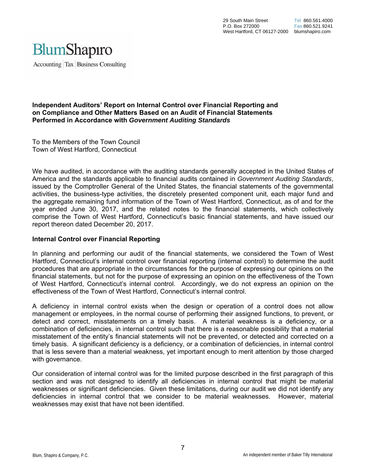

Accounting Tax Business Consulting

#### **Independent Auditors' Report on Internal Control over Financial Reporting and on Compliance and Other Matters Based on an Audit of Financial Statements Performed in Accordance with** *Government Auditing Standards*

To the Members of the Town Council Town of West Hartford, Connecticut

We have audited, in accordance with the auditing standards generally accepted in the United States of America and the standards applicable to financial audits contained in *Government Auditing Standards*, issued by the Comptroller General of the United States, the financial statements of the governmental activities, the business-type activities, the discretely presented component unit, each major fund and the aggregate remaining fund information of the Town of West Hartford, Connecticut, as of and for the year ended June 30, 2017, and the related notes to the financial statements, which collectively comprise the Town of West Hartford, Connecticut's basic financial statements, and have issued our report thereon dated December 20, 2017.

#### **Internal Control over Financial Reporting**

In planning and performing our audit of the financial statements, we considered the Town of West Hartford, Connecticut's internal control over financial reporting (internal control) to determine the audit procedures that are appropriate in the circumstances for the purpose of expressing our opinions on the financial statements, but not for the purpose of expressing an opinion on the effectiveness of the Town of West Hartford, Connecticut's internal control. Accordingly, we do not express an opinion on the effectiveness of the Town of West Hartford, Connecticut's internal control.

A deficiency in internal control exists when the design or operation of a control does not allow management or employees, in the normal course of performing their assigned functions, to prevent, or detect and correct, misstatements on a timely basis. A material weakness is a deficiency, or a combination of deficiencies, in internal control such that there is a reasonable possibility that a material misstatement of the entity's financial statements will not be prevented, or detected and corrected on a timely basis. A significant deficiency is a deficiency, or a combination of deficiencies, in internal control that is less severe than a material weakness, yet important enough to merit attention by those charged with governance.

Our consideration of internal control was for the limited purpose described in the first paragraph of this section and was not designed to identify all deficiencies in internal control that might be material weaknesses or significant deficiencies. Given these limitations, during our audit we did not identify any deficiencies in internal control that we consider to be material weaknesses. However, material weaknesses may exist that have not been identified.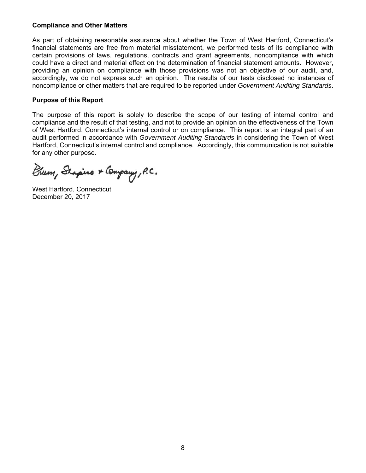#### **Compliance and Other Matters**

As part of obtaining reasonable assurance about whether the Town of West Hartford, Connecticut's financial statements are free from material misstatement, we performed tests of its compliance with certain provisions of laws, regulations, contracts and grant agreements, noncompliance with which could have a direct and material effect on the determination of financial statement amounts. However, providing an opinion on compliance with those provisions was not an objective of our audit, and, accordingly, we do not express such an opinion. The results of our tests disclosed no instances of noncompliance or other matters that are required to be reported under *Government Auditing Standards*.

#### **Purpose of this Report**

The purpose of this report is solely to describe the scope of our testing of internal control and compliance and the result of that testing, and not to provide an opinion on the effectiveness of the Town of West Hartford, Connecticut's internal control or on compliance. This report is an integral part of an audit performed in accordance with *Government Auditing Standards* in considering the Town of West Hartford, Connecticut's internal control and compliance. Accordingly, this communication is not suitable for any other purpose.

Blum, Shapino & Company, P.C.

West Hartford, Connecticut December 20, 2017